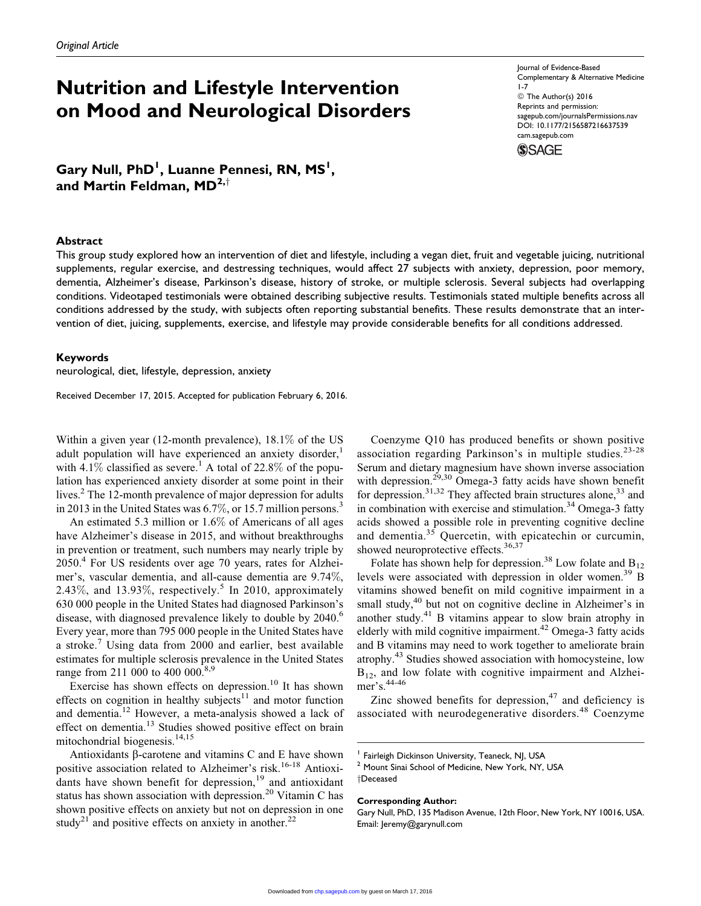# Nutrition and Lifestyle Intervention on Mood and Neurological Disorders

Gary Null, PhD<sup>I</sup>, Luanne Pennesi, RN, MS<sup>I</sup>, and Martin Feldman,  $MD^{2, \dagger}$ 

#### Abstract

Journal of Evidence-Based Complementary & Alternative Medicine 1-7 © The Author(s) 2016 Reprints and permission: [sagepub.com/journalsPermissions.nav](http://www.sagepub.com/journalsPermissions.nav) DOI: 10.1177/2156587216637539 [cam.sagepub.com](http://cam.sagepub.com)



This group study explored how an intervention of diet and lifestyle, including a vegan diet, fruit and vegetable juicing, nutritional supplements, regular exercise, and destressing techniques, would affect 27 subjects with anxiety, depression, poor memory, dementia, Alzheimer's disease, Parkinson's disease, history of stroke, or multiple sclerosis. Several subjects had overlapping conditions. Videotaped testimonials were obtained describing subjective results. Testimonials stated multiple benefits across all conditions addressed by the study, with subjects often reporting substantial benefits. These results demonstrate that an intervention of diet, juicing, supplements, exercise, and lifestyle may provide considerable benefits for all conditions addressed.

#### Keywords

neurological, diet, lifestyle, depression, anxiety

Received December 17, 2015. Accepted for publication February 6, 2016.

Within a given year (12-month prevalence), 18.1% of the US adult population will have experienced an anxiety disorder, $<sup>1</sup>$ </sup> with  $4.1\%$  classified as severe.<sup>1</sup> A total of 22.8% of the population has experienced anxiety disorder at some point in their lives.<sup>2</sup> The 12-month prevalence of major depression for adults in 2013 in the United States was 6.7%, or 15.7 million persons.<sup>3</sup>

An estimated 5.3 million or 1.6% of Americans of all ages have Alzheimer's disease in 2015, and without breakthroughs in prevention or treatment, such numbers may nearly triple by 2050.<sup>4</sup> For US residents over age 70 years, rates for Alzheimer's, vascular dementia, and all-cause dementia are 9.74%, 2.43%, and 13.93%, respectively.<sup>5</sup> In 2010, approximately 630 000 people in the United States had diagnosed Parkinson's disease, with diagnosed prevalence likely to double by 2040.<sup>6</sup> Every year, more than 795 000 people in the United States have a stroke.<sup>7</sup> Using data from 2000 and earlier, best available estimates for multiple sclerosis prevalence in the United States range from 211 000 to 400 000.<sup>8,9</sup>

Exercise has shown effects on depression.<sup>10</sup> It has shown effects on cognition in healthy subjects $11$  and motor function and dementia.<sup>12</sup> However, a meta-analysis showed a lack of effect on dementia.<sup>13</sup> Studies showed positive effect on brain mitochondrial biogenesis.<sup>14,15</sup>

Antioxidants  $\beta$ -carotene and vitamins C and E have shown positive association related to Alzheimer's risk.<sup>16-18</sup> Antioxidants have shown benefit for depression, $19$  and antioxidant status has shown association with depression.<sup>20</sup> Vitamin C has shown positive effects on anxiety but not on depression in one study<sup>21</sup> and positive effects on anxiety in another.<sup>22</sup>

Coenzyme Q10 has produced benefits or shown positive association regarding Parkinson's in multiple studies.<sup>23-28</sup> Serum and dietary magnesium have shown inverse association with depression.<sup>29,30</sup> Omega-3 fatty acids have shown benefit for depression.<sup>31,32</sup> They affected brain structures alone,<sup>33</sup> and in combination with exercise and stimulation. $34$  Omega-3 fatty acids showed a possible role in preventing cognitive decline and dementia.<sup>35</sup> Quercetin, with epicatechin or curcumin, showed neuroprotective effects.<sup>36,37</sup>

Folate has shown help for depression.<sup>38</sup> Low folate and  $B_{12}$ levels were associated with depression in older women.<sup>39</sup> B vitamins showed benefit on mild cognitive impairment in a small study,<sup>40</sup> but not on cognitive decline in Alzheimer's in another study.<sup>41</sup> B vitamins appear to slow brain atrophy in elderly with mild cognitive impairment.<sup>42</sup> Omega-3 fatty acids and B vitamins may need to work together to ameliorate brain atrophy.<sup>43</sup> Studies showed association with homocysteine, low  $B_{12}$ , and low folate with cognitive impairment and Alzheimer's.<sup>44-46</sup>

Zinc showed benefits for depression, $47$  and deficiency is associated with neurodegenerative disorders.<sup>48</sup> Coenzyme

#### Corresponding Author:

Fairleigh Dickinson University, Teaneck, NJ, USA Mount Sinai School of Medicine, New York, NY, USA

yDeceased

Gary Null, PhD, 135 Madison Avenue, 12th Floor, New York, NY 10016, USA. Email: Jeremy@garynull.com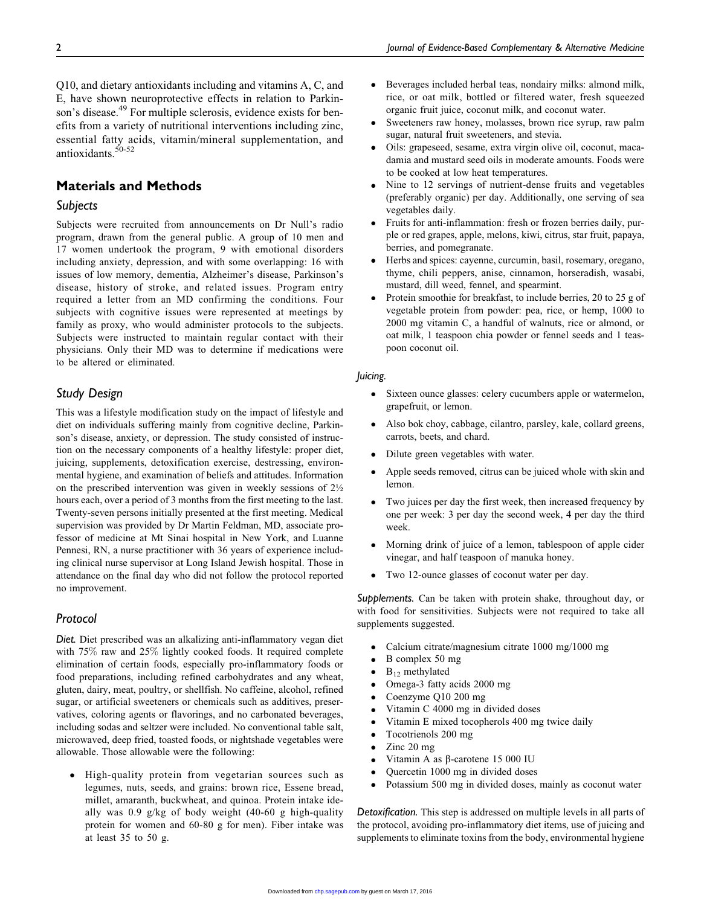Q10, and dietary antioxidants including and vitamins A, C, and E, have shown neuroprotective effects in relation to Parkinson's disease.<sup>49</sup> For multiple sclerosis, evidence exists for benefits from a variety of nutritional interventions including zinc, essential fatty acids, vitamin/mineral supplementation, and antioxidants.<sup>50-52</sup>

# Materials and Methods

# **Subjects**

Subjects were recruited from announcements on Dr Null's radio program, drawn from the general public. A group of 10 men and 17 women undertook the program, 9 with emotional disorders including anxiety, depression, and with some overlapping: 16 with issues of low memory, dementia, Alzheimer's disease, Parkinson's disease, history of stroke, and related issues. Program entry required a letter from an MD confirming the conditions. Four subjects with cognitive issues were represented at meetings by family as proxy, who would administer protocols to the subjects. Subjects were instructed to maintain regular contact with their physicians. Only their MD was to determine if medications were to be altered or eliminated.

## Study Design

This was a lifestyle modification study on the impact of lifestyle and diet on individuals suffering mainly from cognitive decline, Parkinson's disease, anxiety, or depression. The study consisted of instruction on the necessary components of a healthy lifestyle: proper diet, juicing, supplements, detoxification exercise, destressing, environmental hygiene, and examination of beliefs and attitudes. Information on the prescribed intervention was given in weekly sessions of 2½ hours each, over a period of 3 months from the first meeting to the last. Twenty-seven persons initially presented at the first meeting. Medical supervision was provided by Dr Martin Feldman, MD, associate professor of medicine at Mt Sinai hospital in New York, and Luanne Pennesi, RN, a nurse practitioner with 36 years of experience including clinical nurse supervisor at Long Island Jewish hospital. Those in attendance on the final day who did not follow the protocol reported no improvement.

# Protocol

Diet. Diet prescribed was an alkalizing anti-inflammatory vegan diet with 75% raw and 25% lightly cooked foods. It required complete elimination of certain foods, especially pro-inflammatory foods or food preparations, including refined carbohydrates and any wheat, gluten, dairy, meat, poultry, or shellfish. No caffeine, alcohol, refined sugar, or artificial sweeteners or chemicals such as additives, preservatives, coloring agents or flavorings, and no carbonated beverages, including sodas and seltzer were included. No conventional table salt, microwaved, deep fried, toasted foods, or nightshade vegetables were allowable. Those allowable were the following:

- High-quality protein from vegetarian sources such as legumes, nuts, seeds, and grains: brown rice, Essene bread, millet, amaranth, buckwheat, and quinoa. Protein intake ideally was 0.9 g/kg of body weight (40-60 g high-quality protein for women and 60-80 g for men). Fiber intake was at least 35 to 50 g.

- $\bullet$  Beverages included herbal teas, nondairy milks: almond milk, rice, or oat milk, bottled or filtered water, fresh squeezed organic fruit juice, coconut milk, and coconut water.
- $\bullet$  Sweeteners raw honey, molasses, brown rice syrup, raw palm sugar, natural fruit sweeteners, and stevia.
- $\bullet$  Oils: grapeseed, sesame, extra virgin olive oil, coconut, macadamia and mustard seed oils in moderate amounts. Foods were to be cooked at low heat temperatures.
- $\bullet$  Nine to 12 servings of nutrient-dense fruits and vegetables (preferably organic) per day. Additionally, one serving of sea vegetables daily.
- $\bullet$  Fruits for anti-inflammation: fresh or frozen berries daily, purple or red grapes, apple, melons, kiwi, citrus, star fruit, papaya, berries, and pomegranate.
- - Herbs and spices: cayenne, curcumin, basil, rosemary, oregano, thyme, chili peppers, anise, cinnamon, horseradish, wasabi, mustard, dill weed, fennel, and spearmint.
- $\bullet$  Protein smoothie for breakfast, to include berries, 20 to 25 g of vegetable protein from powder: pea, rice, or hemp, 1000 to 2000 mg vitamin C, a handful of walnuts, rice or almond, or oat milk, 1 teaspoon chia powder or fennel seeds and 1 teaspoon coconut oil.

#### Juicing.

- $\bullet$  Sixteen ounce glasses: celery cucumbers apple or watermelon, grapefruit, or lemon.
- $\bullet$  Also bok choy, cabbage, cilantro, parsley, kale, collard greens, carrots, beets, and chard.
- $\bullet$ Dilute green vegetables with water.
- $\bullet$  Apple seeds removed, citrus can be juiced whole with skin and lemon.
- $\bullet$  Two juices per day the first week, then increased frequency by one per week: 3 per day the second week, 4 per day the third week.
- $\bullet$  Morning drink of juice of a lemon, tablespoon of apple cider vinegar, and half teaspoon of manuka honey.
- $\bullet$ Two 12-ounce glasses of coconut water per day.

Supplements. Can be taken with protein shake, throughout day, or with food for sensitivities. Subjects were not required to take all supplements suggested.

- $\bullet$ Calcium citrate/magnesium citrate 1000 mg/1000 mg
- $\bullet$ B complex 50 mg
- -B12 methylated
- $\bullet$ Omega-3 fatty acids 2000 mg
- $\bullet$ Coenzyme Q10 200 mg
- $\bullet$ Vitamin C 4000 mg in divided doses
- $\bullet$ Vitamin E mixed tocopherols 400 mg twice daily
- $\bullet$ Tocotrienols 200 mg
- $\bullet$ Zinc 20 mg
- $\bullet$ Vitamin A as  $\beta$ -carotene 15 000 IU
- $\bullet$ Quercetin 1000 mg in divided doses
- $\bullet$ Potassium 500 mg in divided doses, mainly as coconut water

Detoxification. This step is addressed on multiple levels in all parts of the protocol, avoiding pro-inflammatory diet items, use of juicing and supplements to eliminate toxins from the body, environmental hygiene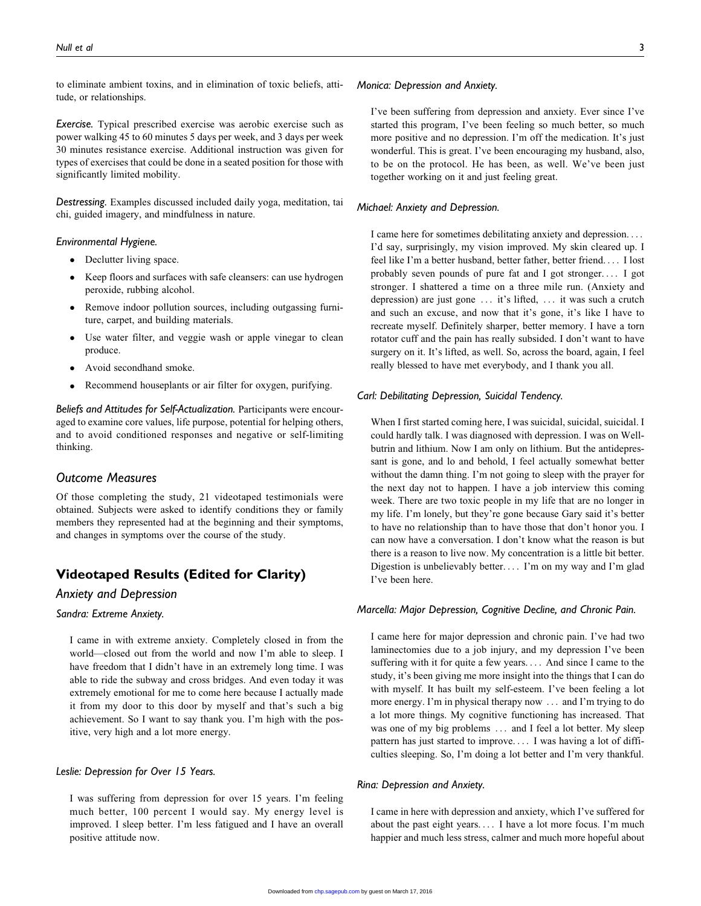to eliminate ambient toxins, and in elimination of toxic beliefs, attitude, or relationships.

Exercise. Typical prescribed exercise was aerobic exercise such as power walking 45 to 60 minutes 5 days per week, and 3 days per week 30 minutes resistance exercise. Additional instruction was given for types of exercises that could be done in a seated position for those with significantly limited mobility.

Destressing. Examples discussed included daily yoga, meditation, tai chi, guided imagery, and mindfulness in nature.

#### Environmental Hygiene.

- Declutter living space.
- $\bullet$  Keep floors and surfaces with safe cleansers: can use hydrogen peroxide, rubbing alcohol.
- Remove indoor pollution sources, including outgassing furniture, carpet, and building materials.
- $\bullet$  Use water filter, and veggie wash or apple vinegar to clean produce.
- $\bullet$ Avoid secondhand smoke.
- $\bullet$ Recommend houseplants or air filter for oxygen, purifying.

Beliefs and Attitudes for Self-Actualization. Participants were encouraged to examine core values, life purpose, potential for helping others, and to avoid conditioned responses and negative or self-limiting thinking.

# Outcome Measures

Of those completing the study, 21 videotaped testimonials were obtained. Subjects were asked to identify conditions they or family members they represented had at the beginning and their symptoms, and changes in symptoms over the course of the study.

# Videotaped Results (Edited for Clarity)

# Anxiety and Depression

#### Sandra: Extreme Anxiety.

I came in with extreme anxiety. Completely closed in from the world—closed out from the world and now I'm able to sleep. I have freedom that I didn't have in an extremely long time. I was able to ride the subway and cross bridges. And even today it was extremely emotional for me to come here because I actually made it from my door to this door by myself and that's such a big achievement. So I want to say thank you. I'm high with the positive, very high and a lot more energy.

# Leslie: Depression for Over 15 Years.

I was suffering from depression for over 15 years. I'm feeling much better, 100 percent I would say. My energy level is improved. I sleep better. I'm less fatigued and I have an overall positive attitude now.

#### Monica: Depression and Anxiety.

I've been suffering from depression and anxiety. Ever since I've started this program, I've been feeling so much better, so much more positive and no depression. I'm off the medication. It's just wonderful. This is great. I've been encouraging my husband, also, to be on the protocol. He has been, as well. We've been just together working on it and just feeling great.

#### Michael: Anxiety and Depression.

I came here for sometimes debilitating anxiety and depression. ... I'd say, surprisingly, my vision improved. My skin cleared up. I feel like I'm a better husband, better father, better friend. ... I lost probably seven pounds of pure fat and I got stronger. ... I got stronger. I shattered a time on a three mile run. (Anxiety and depression) are just gone ... it's lifted, ... it was such a crutch and such an excuse, and now that it's gone, it's like I have to recreate myself. Definitely sharper, better memory. I have a torn rotator cuff and the pain has really subsided. I don't want to have surgery on it. It's lifted, as well. So, across the board, again, I feel really blessed to have met everybody, and I thank you all.

## Carl: Debilitating Depression, Suicidal Tendency.

When I first started coming here, I was suicidal, suicidal, suicidal. I could hardly talk. I was diagnosed with depression. I was on Wellbutrin and lithium. Now I am only on lithium. But the antidepressant is gone, and lo and behold, I feel actually somewhat better without the damn thing. I'm not going to sleep with the prayer for the next day not to happen. I have a job interview this coming week. There are two toxic people in my life that are no longer in my life. I'm lonely, but they're gone because Gary said it's better to have no relationship than to have those that don't honor you. I can now have a conversation. I don't know what the reason is but there is a reason to live now. My concentration is a little bit better. Digestion is unbelievably better. ... I'm on my way and I'm glad I've been here.

## Marcella: Major Depression, Cognitive Decline, and Chronic Pain.

I came here for major depression and chronic pain. I've had two laminectomies due to a job injury, and my depression I've been suffering with it for quite a few years. ... And since I came to the study, it's been giving me more insight into the things that I can do with myself. It has built my self-esteem. I've been feeling a lot more energy. I'm in physical therapy now ... and I'm trying to do a lot more things. My cognitive functioning has increased. That was one of my big problems ... and I feel a lot better. My sleep pattern has just started to improve. ... I was having a lot of difficulties sleeping. So, I'm doing a lot better and I'm very thankful.

## Rina: Depression and Anxiety.

I came in here with depression and anxiety, which I've suffered for about the past eight years. ... I have a lot more focus. I'm much happier and much less stress, calmer and much more hopeful about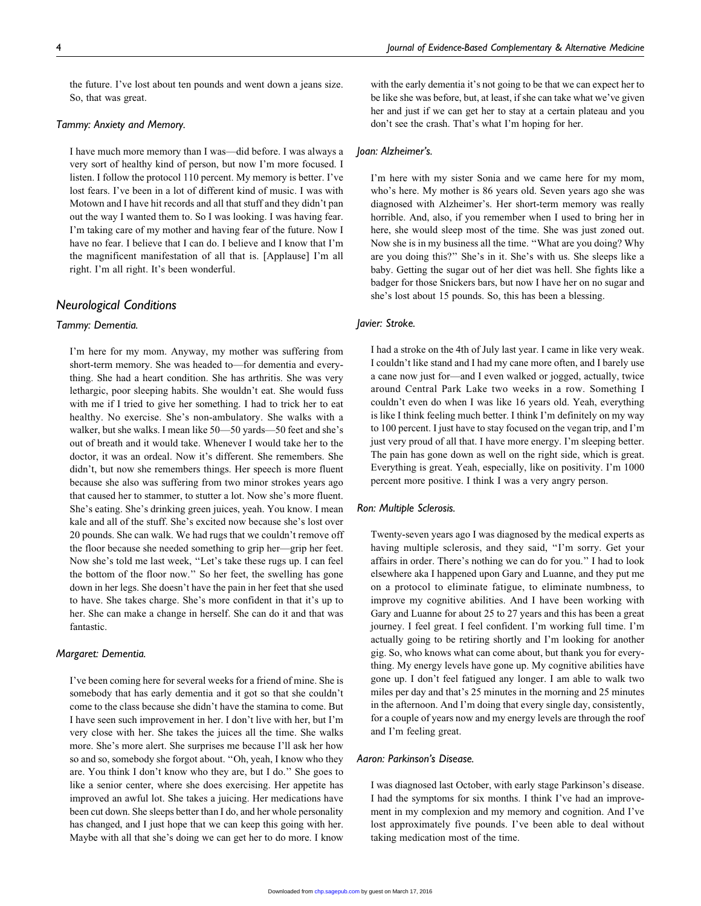the future. I've lost about ten pounds and went down a jeans size. So, that was great.

#### Tammy: Anxiety and Memory.

I have much more memory than I was—did before. I was always a very sort of healthy kind of person, but now I'm more focused. I listen. I follow the protocol 110 percent. My memory is better. I've lost fears. I've been in a lot of different kind of music. I was with Motown and I have hit records and all that stuff and they didn't pan out the way I wanted them to. So I was looking. I was having fear. I'm taking care of my mother and having fear of the future. Now I have no fear. I believe that I can do. I believe and I know that I'm the magnificent manifestation of all that is. [Applause] I'm all right. I'm all right. It's been wonderful.

# Neurological Conditions

#### Tammy: Dementia.

I'm here for my mom. Anyway, my mother was suffering from short-term memory. She was headed to—for dementia and everything. She had a heart condition. She has arthritis. She was very lethargic, poor sleeping habits. She wouldn't eat. She would fuss with me if I tried to give her something. I had to trick her to eat healthy. No exercise. She's non-ambulatory. She walks with a walker, but she walks. I mean like 50—50 yards—50 feet and she's out of breath and it would take. Whenever I would take her to the doctor, it was an ordeal. Now it's different. She remembers. She didn't, but now she remembers things. Her speech is more fluent because she also was suffering from two minor strokes years ago that caused her to stammer, to stutter a lot. Now she's more fluent. She's eating. She's drinking green juices, yeah. You know. I mean kale and all of the stuff. She's excited now because she's lost over 20 pounds. She can walk. We had rugs that we couldn't remove off the floor because she needed something to grip her—grip her feet. Now she's told me last week, ''Let's take these rugs up. I can feel the bottom of the floor now.'' So her feet, the swelling has gone down in her legs. She doesn't have the pain in her feet that she used to have. She takes charge. She's more confident in that it's up to her. She can make a change in herself. She can do it and that was fantastic.

#### Margaret: Dementia.

I've been coming here for several weeks for a friend of mine. She is somebody that has early dementia and it got so that she couldn't come to the class because she didn't have the stamina to come. But I have seen such improvement in her. I don't live with her, but I'm very close with her. She takes the juices all the time. She walks more. She's more alert. She surprises me because I'll ask her how so and so, somebody she forgot about. ''Oh, yeah, I know who they are. You think I don't know who they are, but I do.'' She goes to like a senior center, where she does exercising. Her appetite has improved an awful lot. She takes a juicing. Her medications have been cut down. She sleeps better than I do, and her whole personality has changed, and I just hope that we can keep this going with her. Maybe with all that she's doing we can get her to do more. I know

with the early dementia it's not going to be that we can expect her to be like she was before, but, at least, if she can take what we've given her and just if we can get her to stay at a certain plateau and you don't see the crash. That's what I'm hoping for her.

#### Joan: Alzheimer's.

I'm here with my sister Sonia and we came here for my mom, who's here. My mother is 86 years old. Seven years ago she was diagnosed with Alzheimer's. Her short-term memory was really horrible. And, also, if you remember when I used to bring her in here, she would sleep most of the time. She was just zoned out. Now she is in my business all the time. ''What are you doing? Why are you doing this?'' She's in it. She's with us. She sleeps like a baby. Getting the sugar out of her diet was hell. She fights like a badger for those Snickers bars, but now I have her on no sugar and she's lost about 15 pounds. So, this has been a blessing.

## Javier: Stroke.

I had a stroke on the 4th of July last year. I came in like very weak. I couldn't like stand and I had my cane more often, and I barely use a cane now just for—and I even walked or jogged, actually, twice around Central Park Lake two weeks in a row. Something I couldn't even do when I was like 16 years old. Yeah, everything is like I think feeling much better. I think I'm definitely on my way to 100 percent. I just have to stay focused on the vegan trip, and I'm just very proud of all that. I have more energy. I'm sleeping better. The pain has gone down as well on the right side, which is great. Everything is great. Yeah, especially, like on positivity. I'm 1000 percent more positive. I think I was a very angry person.

#### Ron: Multiple Sclerosis.

Twenty-seven years ago I was diagnosed by the medical experts as having multiple sclerosis, and they said, ''I'm sorry. Get your affairs in order. There's nothing we can do for you.'' I had to look elsewhere aka I happened upon Gary and Luanne, and they put me on a protocol to eliminate fatigue, to eliminate numbness, to improve my cognitive abilities. And I have been working with Gary and Luanne for about 25 to 27 years and this has been a great journey. I feel great. I feel confident. I'm working full time. I'm actually going to be retiring shortly and I'm looking for another gig. So, who knows what can come about, but thank you for everything. My energy levels have gone up. My cognitive abilities have gone up. I don't feel fatigued any longer. I am able to walk two miles per day and that's 25 minutes in the morning and 25 minutes in the afternoon. And I'm doing that every single day, consistently, for a couple of years now and my energy levels are through the roof and I'm feeling great.

#### Aaron: Parkinson's Disease.

I was diagnosed last October, with early stage Parkinson's disease. I had the symptoms for six months. I think I've had an improvement in my complexion and my memory and cognition. And I've lost approximately five pounds. I've been able to deal without taking medication most of the time.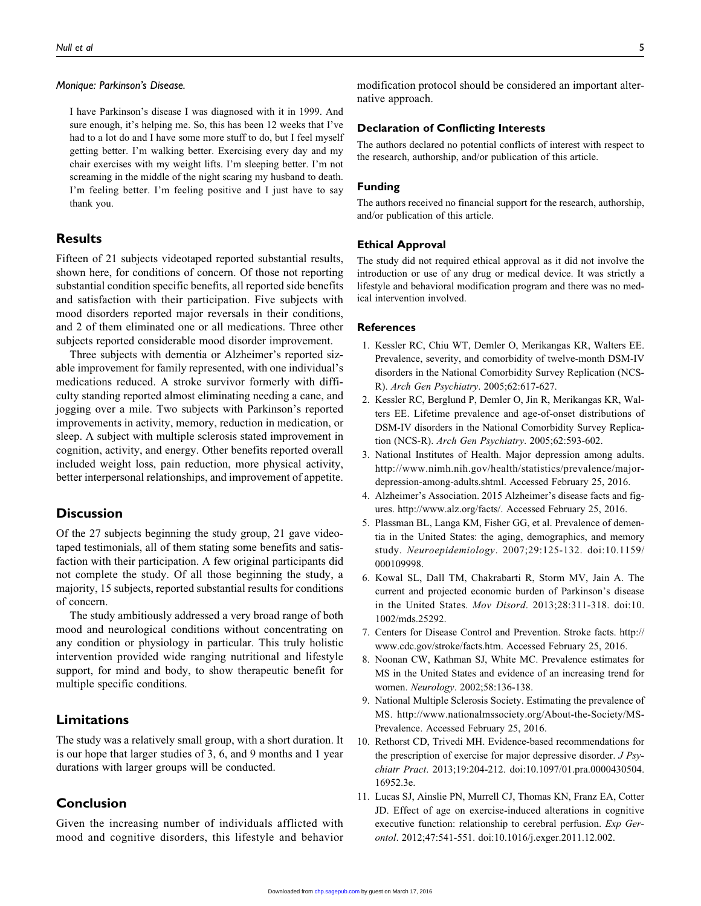#### Monique: Parkinson's Disease.

I have Parkinson's disease I was diagnosed with it in 1999. And sure enough, it's helping me. So, this has been 12 weeks that I've had to a lot do and I have some more stuff to do, but I feel myself getting better. I'm walking better. Exercising every day and my chair exercises with my weight lifts. I'm sleeping better. I'm not screaming in the middle of the night scaring my husband to death. I'm feeling better. I'm feeling positive and I just have to say thank you.

# **Results**

Fifteen of 21 subjects videotaped reported substantial results, shown here, for conditions of concern. Of those not reporting substantial condition specific benefits, all reported side benefits and satisfaction with their participation. Five subjects with mood disorders reported major reversals in their conditions, and 2 of them eliminated one or all medications. Three other subjects reported considerable mood disorder improvement.

Three subjects with dementia or Alzheimer's reported sizable improvement for family represented, with one individual's medications reduced. A stroke survivor formerly with difficulty standing reported almost eliminating needing a cane, and jogging over a mile. Two subjects with Parkinson's reported improvements in activity, memory, reduction in medication, or sleep. A subject with multiple sclerosis stated improvement in cognition, activity, and energy. Other benefits reported overall included weight loss, pain reduction, more physical activity, better interpersonal relationships, and improvement of appetite.

# **Discussion**

Of the 27 subjects beginning the study group, 21 gave videotaped testimonials, all of them stating some benefits and satisfaction with their participation. A few original participants did not complete the study. Of all those beginning the study, a majority, 15 subjects, reported substantial results for conditions of concern.

The study ambitiously addressed a very broad range of both mood and neurological conditions without concentrating on any condition or physiology in particular. This truly holistic intervention provided wide ranging nutritional and lifestyle support, for mind and body, to show therapeutic benefit for multiple specific conditions.

# Limitations

The study was a relatively small group, with a short duration. It is our hope that larger studies of 3, 6, and 9 months and 1 year durations with larger groups will be conducted.

# Conclusion

Given the increasing number of individuals afflicted with mood and cognitive disorders, this lifestyle and behavior modification protocol should be considered an important alternative approach.

## Declaration of Conflicting Interests

The authors declared no potential conflicts of interest with respect to the research, authorship, and/or publication of this article.

# Funding

The authors received no financial support for the research, authorship, and/or publication of this article.

#### Ethical Approval

The study did not required ethical approval as it did not involve the introduction or use of any drug or medical device. It was strictly a lifestyle and behavioral modification program and there was no medical intervention involved.

## **References**

- 1. Kessler RC, Chiu WT, Demler O, Merikangas KR, Walters EE. Prevalence, severity, and comorbidity of twelve-month DSM-IV disorders in the National Comorbidity Survey Replication (NCS-R). Arch Gen Psychiatry. 2005;62:617-627.
- 2. Kessler RC, Berglund P, Demler O, Jin R, Merikangas KR, Walters EE. Lifetime prevalence and age-of-onset distributions of DSM-IV disorders in the National Comorbidity Survey Replication (NCS-R). Arch Gen Psychiatry. 2005;62:593-602.
- 3. National Institutes of Health. Major depression among adults. [http://www.nimh.nih.gov/health/statistics/prevalence/major](http://www.nimh.nih.gov/health/statistics/prevalence/major-depression-among-adults.shtml)[depression-among-adults.shtml](http://www.nimh.nih.gov/health/statistics/prevalence/major-depression-among-adults.shtml). Accessed February 25, 2016.
- 4. Alzheimer's Association. 2015 Alzheimer's disease facts and figures.<http://www.alz.org/facts/>. Accessed February 25, 2016.
- 5. Plassman BL, Langa KM, Fisher GG, et al. Prevalence of dementia in the United States: the aging, demographics, and memory study. Neuroepidemiology. 2007;29:125-132. doi:10.1159/ 000109998.
- 6. Kowal SL, Dall TM, Chakrabarti R, Storm MV, Jain A. The current and projected economic burden of Parkinson's disease in the United States. Mov Disord. 2013;28:311-318. doi:10. 1002/mds.25292.
- 7. Centers for Disease Control and Prevention. Stroke facts. [http://](http://www.cdc.gov/stroke/facts.htm) [www.cdc.gov/stroke/facts.htm.](http://www.cdc.gov/stroke/facts.htm) Accessed February 25, 2016.
- 8. Noonan CW, Kathman SJ, White MC. Prevalence estimates for MS in the United States and evidence of an increasing trend for women. Neurology. 2002;58:136-138.
- 9. National Multiple Sclerosis Society. Estimating the prevalence of MS. [http://www.nationalmssociety.org/About-the-Society/MS-](http://www.nationalmssociety.org/About-the-Society/MS-Prevalence)[Prevalence](http://www.nationalmssociety.org/About-the-Society/MS-Prevalence). Accessed February 25, 2016.
- 10. Rethorst CD, Trivedi MH. Evidence-based recommendations for the prescription of exercise for major depressive disorder. J Psychiatr Pract. 2013;19:204-212. doi:10.1097/01.pra.0000430504. 16952.3e.
- 11. Lucas SJ, Ainslie PN, Murrell CJ, Thomas KN, Franz EA, Cotter JD. Effect of age on exercise-induced alterations in cognitive executive function: relationship to cerebral perfusion. Exp Gerontol. 2012;47:541-551. doi:10.1016/j.exger.2011.12.002.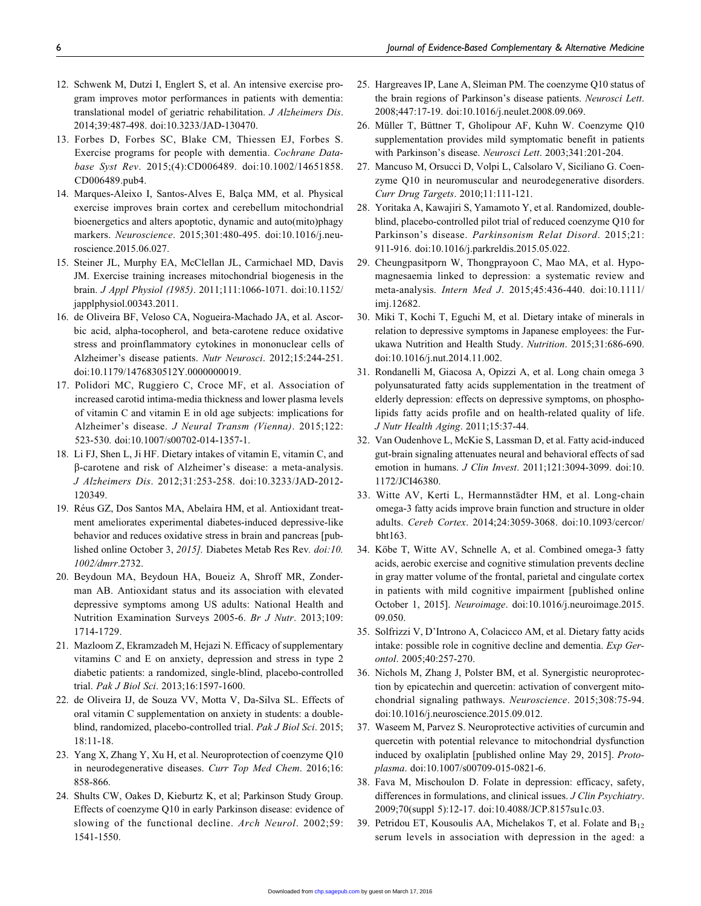- 12. Schwenk M, Dutzi I, Englert S, et al. An intensive exercise program improves motor performances in patients with dementia: translational model of geriatric rehabilitation. J Alzheimers Dis. 2014;39:487-498. doi:10.3233/JAD-130470.
- 13. Forbes D, Forbes SC, Blake CM, Thiessen EJ, Forbes S. Exercise programs for people with dementia. Cochrane Database Syst Rev. 2015;(4):CD006489. doi:10.1002/14651858. CD006489.pub4.
- 14. Marques-Aleixo I, Santos-Alves E, Balça MM, et al. Physical exercise improves brain cortex and cerebellum mitochondrial bioenergetics and alters apoptotic, dynamic and auto(mito)phagy markers. Neuroscience. 2015;301:480-495. doi:10.1016/j.neuroscience.2015.06.027.
- 15. Steiner JL, Murphy EA, McClellan JL, Carmichael MD, Davis JM. Exercise training increases mitochondrial biogenesis in the brain. J Appl Physiol (1985). 2011;111:1066-1071. doi:10.1152/ japplphysiol.00343.2011.
- 16. de Oliveira BF, Veloso CA, Nogueira-Machado JA, et al. Ascorbic acid, alpha-tocopherol, and beta-carotene reduce oxidative stress and proinflammatory cytokines in mononuclear cells of Alzheimer's disease patients. Nutr Neurosci. 2012;15:244-251. doi:10.1179/1476830512Y.0000000019.
- 17. Polidori MC, Ruggiero C, Croce MF, et al. Association of increased carotid intima-media thickness and lower plasma levels of vitamin C and vitamin E in old age subjects: implications for Alzheimer's disease. J Neural Transm (Vienna). 2015;122: 523-530. doi:10.1007/s00702-014-1357-1.
- 18. Li FJ, Shen L, Ji HF. Dietary intakes of vitamin E, vitamin C, and b-carotene and risk of Alzheimer's disease: a meta-analysis. J Alzheimers Dis. 2012;31:253-258. doi:10.3233/JAD-2012- 120349.
- 19. Réus GZ, Dos Santos MA, Abelaira HM, et al. Antioxidant treatment ameliorates experimental diabetes-induced depressive-like behavior and reduces oxidative stress in brain and pancreas [published online October 3, 2015]. Diabetes Metab Res Rev. doi:10. 1002/dmrr.2732.
- 20. Beydoun MA, Beydoun HA, Boueiz A, Shroff MR, Zonderman AB. Antioxidant status and its association with elevated depressive symptoms among US adults: National Health and Nutrition Examination Surveys 2005-6. Br J Nutr. 2013;109: 1714-1729.
- 21. Mazloom Z, Ekramzadeh M, Hejazi N. Efficacy of supplementary vitamins C and E on anxiety, depression and stress in type 2 diabetic patients: a randomized, single-blind, placebo-controlled trial. Pak J Biol Sci. 2013;16:1597-1600.
- 22. de Oliveira IJ, de Souza VV, Motta V, Da-Silva SL. Effects of oral vitamin C supplementation on anxiety in students: a doubleblind, randomized, placebo-controlled trial. Pak J Biol Sci. 2015; 18:11-18.
- 23. Yang X, Zhang Y, Xu H, et al. Neuroprotection of coenzyme Q10 in neurodegenerative diseases. Curr Top Med Chem. 2016;16: 858-866.
- 24. Shults CW, Oakes D, Kieburtz K, et al; Parkinson Study Group. Effects of coenzyme Q10 in early Parkinson disease: evidence of slowing of the functional decline. Arch Neurol. 2002;59: 1541-1550.
- 25. Hargreaves IP, Lane A, Sleiman PM. The coenzyme Q10 status of the brain regions of Parkinson's disease patients. Neurosci Lett. 2008;447:17-19. doi:10.1016/j.neulet.2008.09.069.
- 26. Müller T, Büttner T, Gholipour AF, Kuhn W. Coenzyme Q10 supplementation provides mild symptomatic benefit in patients with Parkinson's disease. Neurosci Lett. 2003;341:201-204.
- 27. Mancuso M, Orsucci D, Volpi L, Calsolaro V, Siciliano G. Coenzyme Q10 in neuromuscular and neurodegenerative disorders. Curr Drug Targets. 2010;11:111-121.
- 28. Yoritaka A, Kawajiri S, Yamamoto Y, et al. Randomized, doubleblind, placebo-controlled pilot trial of reduced coenzyme Q10 for Parkinson's disease. Parkinsonism Relat Disord. 2015;21: 911-916. doi:10.1016/j.parkreldis.2015.05.022.
- 29. Cheungpasitporn W, Thongprayoon C, Mao MA, et al. Hypomagnesaemia linked to depression: a systematic review and meta-analysis. Intern Med J. 2015;45:436-440. doi:10.1111/ imj.12682.
- 30. Miki T, Kochi T, Eguchi M, et al. Dietary intake of minerals in relation to depressive symptoms in Japanese employees: the Furukawa Nutrition and Health Study. Nutrition. 2015;31:686-690. doi:10.1016/j.nut.2014.11.002.
- 31. Rondanelli M, Giacosa A, Opizzi A, et al. Long chain omega 3 polyunsaturated fatty acids supplementation in the treatment of elderly depression: effects on depressive symptoms, on phospholipids fatty acids profile and on health-related quality of life. J Nutr Health Aging. 2011;15:37-44.
- 32. Van Oudenhove L, McKie S, Lassman D, et al. Fatty acid-induced gut-brain signaling attenuates neural and behavioral effects of sad emotion in humans. J Clin Invest. 2011;121:3094-3099. doi:10. 1172/JCI46380.
- 33. Witte AV, Kerti L, Hermannstädter HM, et al. Long-chain omega-3 fatty acids improve brain function and structure in older adults. Cereb Cortex. 2014;24:3059-3068. doi:10.1093/cercor/ bht163.
- 34. Köbe T, Witte AV, Schnelle A, et al. Combined omega-3 fatty acids, aerobic exercise and cognitive stimulation prevents decline in gray matter volume of the frontal, parietal and cingulate cortex in patients with mild cognitive impairment [published online October 1, 2015]. Neuroimage. doi:10.1016/j.neuroimage.2015. 09.050.
- 35. Solfrizzi V, D'Introno A, Colacicco AM, et al. Dietary fatty acids intake: possible role in cognitive decline and dementia. Exp Gerontol. 2005;40:257-270.
- 36. Nichols M, Zhang J, Polster BM, et al. Synergistic neuroprotection by epicatechin and quercetin: activation of convergent mitochondrial signaling pathways. Neuroscience. 2015;308:75-94. doi:10.1016/j.neuroscience.2015.09.012.
- 37. Waseem M, Parvez S. Neuroprotective activities of curcumin and quercetin with potential relevance to mitochondrial dysfunction induced by oxaliplatin [published online May 29, 2015]. Protoplasma. doi:10.1007/s00709-015-0821-6.
- 38. Fava M, Mischoulon D. Folate in depression: efficacy, safety, differences in formulations, and clinical issues. J Clin Psychiatry. 2009;70(suppl 5):12-17. doi:10.4088/JCP.8157su1c.03.
- 39. Petridou ET, Kousoulis AA, Michelakos T, et al. Folate and  $B_{12}$ serum levels in association with depression in the aged: a